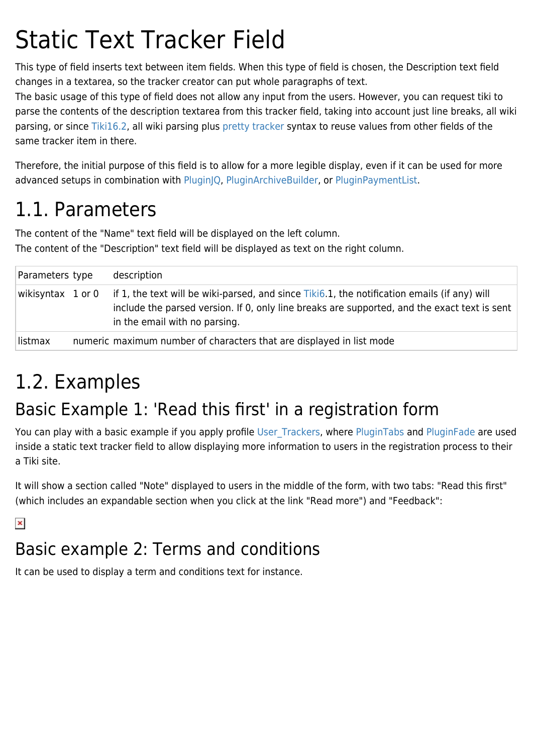# Static Text Tracker Field

This type of field inserts text between item fields. When this type of field is chosen, the Description text field changes in a textarea, so the tracker creator can put whole paragraphs of text.

The basic usage of this type of field does not allow any input from the users. However, you can request tiki to parse the contents of the description textarea from this tracker field, taking into account just line breaks, all wiki parsing, or since [Tiki16.2,](https://doc.tiki.org/Tiki16) all wiki parsing plus [pretty tracker](https://doc.tiki.org/Pretty-Tracker) syntax to reuse values from other fields of the same tracker item in there.

Therefore, the initial purpose of this field is to allow for a more legible display, even if it can be used for more advanced setups in combination with [PluginJQ](https://doc.tiki.org/PluginJq), [PluginArchiveBuilder](https://doc.tiki.org/PluginArchiveBuilder), or [PluginPaymentList](https://doc.tiki.org/PluginPaymentList).

### 1.1. Parameters

The content of the "Name" text field will be displayed on the left column. The content of the "Description" text field will be displayed as text on the right column.

| Parameters type   | description                                                                                                                                                                                                                   |
|-------------------|-------------------------------------------------------------------------------------------------------------------------------------------------------------------------------------------------------------------------------|
| wikisyntax 1 or 0 | if 1, the text will be wiki-parsed, and since Tiki6.1, the notification emails (if any) will<br>include the parsed version. If 0, only line breaks are supported, and the exact text is sent<br>in the email with no parsing. |
| listmax           | numeric maximum number of characters that are displayed in list mode                                                                                                                                                          |

## 1.2. Examples

#### Basic Example 1: 'Read this first' in a registration form

You can play with a basic example if you apply profile User Trackers, where [PluginTabs](https://doc.tiki.org/PluginTabs) and [PluginFade](https://doc.tiki.org/PluginFade) are used inside a static text tracker field to allow displaying more information to users in the registration process to their a Tiki site.

It will show a section called "Note" displayed to users in the middle of the form, with two tabs: "Read this first" (which includes an expandable section when you click at the link "Read more") and "Feedback":

 $\pmb{\times}$ 

#### Basic example 2: Terms and conditions

It can be used to display a term and conditions text for instance.